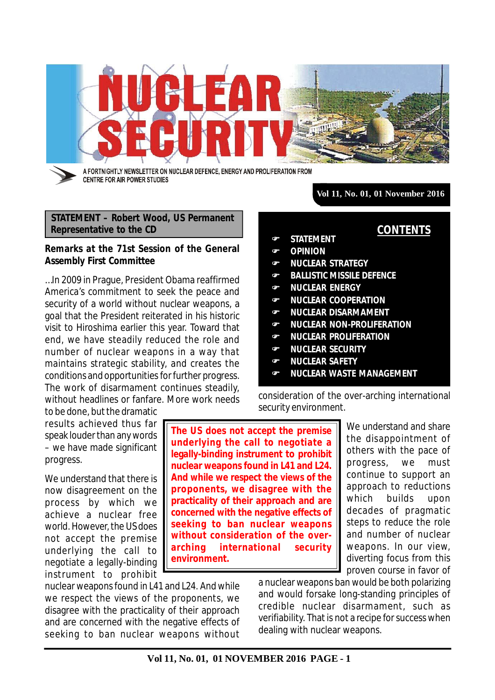

**CENTRE FOR AIR POWER STUDIES** 

**Vol 11, No. 01, 01 November 2016**

**CONTENTS**

## **STATEMENT – Robert Wood, US Permanent Representative to the CD**

## **Remarks at the 71st Session of the General Assembly First Committee**

…In 2009 in Prague, President Obama reaffirmed America's commitment to seek the peace and security of a world without nuclear weapons, a goal that the President reiterated in his historic visit to Hiroshima earlier this year. Toward that end, we have steadily reduced the role and number of nuclear weapons in a way that maintains strategic stability, and creates the conditions and opportunities for further progress. The work of disarmament continues steadily, without headlines or fanfare. More work needs

to be done, but the dramatic results achieved thus far speak louder than any words – we have made significant progress.

We understand that there is now disagreement on the process by which we achieve a nuclear free world. However, the US does not accept the premise underlying the call to negotiate a legally-binding instrument to prohibit

nuclear weapons found in L41 and L24. And while we respect the views of the proponents, we disagree with the practicality of their approach and are concerned with the negative effects of seeking to ban nuclear weapons without

- **STATEMENT**
- **OPINION**
- **NUCLEAR STRATEGY**
- *<b>BALLISTIC MISSILE DEFENCE*
- **NUCLEAR ENERGY**
- **NUCLEAR COOPERATION**
- **NUCLEAR DISARMAMENT**
- **NUCLEAR NON-PROLIFERATION**
- **NUCLEAR PROLIFERATION**
- **NUCLEAR SECURITY**
- **NUCLEAR SAFETY**
- **NUCLEAR WASTE MANAGEMENT**

consideration of the over-arching international security environment.

**The US does not accept the premise underlying the call to negotiate a legally-binding instrument to prohibit nuclear weapons found in L41 and L24. And while we respect the views of the proponents, we disagree with the practicality of their approach and are concerned with the negative effects of seeking to ban nuclear weapons without consideration of the overarching international security environment.**

We understand and share the disappointment of others with the pace of progress, we must continue to support an approach to reductions which builds upon decades of pragmatic steps to reduce the role and number of nuclear weapons. In our view, diverting focus from this proven course in favor of

a nuclear weapons ban would be both polarizing and would forsake long-standing principles of credible nuclear disarmament, such as verifiability. That is not a recipe for success when dealing with nuclear weapons.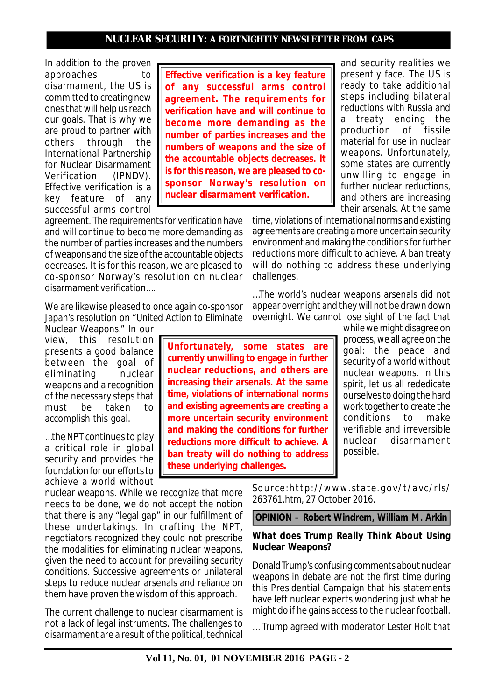In addition to the proven approaches to disarmament, the US is committed to creating new ones that will help us reach our goals. That is why we

are proud to partner with others through the International Partnership for Nuclear Disarmament Verification (IPNDV). Effective verification is a key feature of any successful arms control

**Effective verification is a key feature of any successful arms control agreement. The requirements for verification have and will continue to become more demanding as the number of parties increases and the numbers of weapons and the size of the accountable objects decreases. It is for this reason, we are pleased to cosponsor Norway's resolution on nuclear disarmament verification.**

agreement. The requirements for verification have and will continue to become more demanding as the number of parties increases and the numbers of weapons and the size of the accountable objects decreases. It is for this reason, we are pleased to co-sponsor Norway's resolution on nuclear disarmament verification….

We are likewise pleased to once again co-sponsor Japan's resolution on "United Action to Eliminate

Nuclear Weapons." In our view, this resolution presents a good balance between the goal of eliminating nuclear weapons and a recognition of the necessary steps that must be taken to accomplish this goal.

…the NPT continues to play a critical role in global security and provides the foundation for our efforts to achieve a world without

nuclear weapons. While we recognize that more needs to be done, we do not accept the notion that there is any "legal gap" in our fulfillment of these undertakings. In crafting the NPT, negotiators recognized they could not prescribe the modalities for eliminating nuclear weapons, given the need to account for prevailing security conditions. Successive agreements or unilateral steps to reduce nuclear arsenals and reliance on them have proven the wisdom of this approach.

The current challenge to nuclear disarmament is not a lack of legal instruments. The challenges to disarmament are a result of the political, technical and security realities we presently face. The US is ready to take additional steps including bilateral reductions with Russia and treaty ending the production of fissile material for use in nuclear weapons. Unfortunately, some states are currently unwilling to engage in further nuclear reductions, and others are increasing their arsenals. At the same

time, violations of international norms and existing agreements are creating a more uncertain security environment and making the conditions for further reductions more difficult to achieve. A ban treaty will do nothing to address these underlying challenges.

…The world's nuclear weapons arsenals did not appear overnight and they will not be drawn down overnight. We cannot lose sight of the fact that

**Unfortunately, some states are currently unwilling to engage in further nuclear reductions, and others are increasing their arsenals. At the same time, violations of international norms and existing agreements are creating a more uncertain security environment and making the conditions for further reductions more difficult to achieve. A ban treaty will do nothing to address these underlying challenges.**

while we might disagree on process, we all agree on the goal: the peace and security of a world without nuclear weapons. In this spirit, let us all rededicate ourselves to doing the hard work together to create the conditions to make verifiable and irreversible nuclear disarmament possible.

*Source:ht t p://www.state.gov/t/avc/rls/ 263761.htm, 27 October 2016.*

**OPINION – Robert Windrem, William M. Arkin**

#### **What does Trump Really Think About Using Nuclear Weapons?**

Donald Trump's confusing comments about nuclear weapons in debate are not the first time during this Presidential Campaign that his statements have left nuclear experts wondering just what he might do if he gains access to the nuclear football.

… Trump agreed with moderator Lester Holt that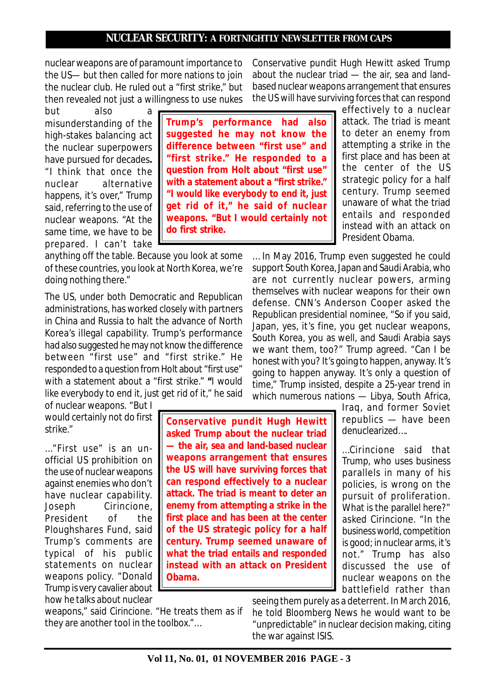nuclear weapons are of paramount importance to the US— but then called for more nations to join the nuclear club. He ruled out a "first strike," but then revealed not just a willingness to use nukes

but also a misunderstanding of the high-stakes balancing act the nuclear superpowers have pursued for decades**.** "I think that once the nuclear alternative happens, it's over," Trump said, referring to the use of nuclear weapons. "At the same time, we have to be prepared. I can't take

anything off the table. Because you look at some of these countries, you look at North Korea, we're doing nothing there."

The US, under both Democratic and Republican administrations, has worked closely with partners in China and Russia to halt the advance of North Korea's illegal capability. Trump's performance had also suggested he may not know the difference between "first use" and "first strike." He responded to a question from Holt about "first use" with a statement about a "first strike." **"**I would like everybody to end it, just get rid of it," he said

of nuclear weapons. "But I would certainly not do first strike."

…"First use" is an unofficial US prohibition on the use of nuclear weapons against enemies who don't have nuclear capability. Joseph Cirincione, President of the Ploughshares Fund, said Trump's comments are typical of his public statements on nuclear weapons policy. "Donald Trump is very cavalier about how he talks about nuclear

**Conservative pundit Hugh Hewitt asked Trump about the nuclear triad — the air, sea and land-based nuclear weapons arrangement that ensures the US will have surviving forces that can respond effectively to a nuclear attack. The triad is meant to deter an enemy from attempting a strike in the first place and has been at the center of the US strategic policy for a half century. Trump seemed unaware of what the triad entails and responded instead with an attack on President Obama.**

weapons," said Cirincione. "He treats them as if they are another tool in the toolbox."…

Conservative pundit Hugh Hewitt asked Trump about the nuclear triad — the air, sea and landbased nuclear weapons arrangement that ensures the US will have surviving forces that can respond

**Trump's performance had also suggested he may not know the difference between "first use" and "first strike." He responded to a question from Holt about "first use" with a statement about a "first strike." "I would like everybody to end it, just get rid of it," he said of nuclear weapons. "But I would certainly not do first strike.**

effectively to a nuclear attack. The triad is meant to deter an enemy from attempting a strike in the first place and has been at the center of the US strategic policy for a half century. Trump seemed unaware of what the triad entails and responded instead with an attack on President Obama.

… In May 2016, Trump even suggested he could support South Korea, Japan and Saudi Arabia, who are not currently nuclear powers, arming themselves with nuclear weapons for their own defense. CNN's Anderson Cooper asked the Republican presidential nominee, "So if you said, Japan, yes, it's fine, you get nuclear weapons, South Korea, you as well, and Saudi Arabia says we want them, too?" Trump agreed. "Can I be honest with you? It's going to happen, anyway. It's going to happen anyway. It's only a question of time," Trump insisted, despite a 25-year trend in which numerous nations — Libya, South Africa,

> Iraq, and former Soviet republics — have been denuclearized….

…Cirincione said that Trump, who uses business parallels in many of his policies, is wrong on the pursuit of proliferation. What is the parallel here?" asked Cirincione. "In the business world, competition is good; in nuclear arms, it's not." Trump has also discussed the use of nuclear weapons on the battlefield rather than

seeing them purely as a deterrent. In March 2016,

he told Bloomberg News he would want to be "unpredictable" in nuclear decision making, citing the war against ISIS.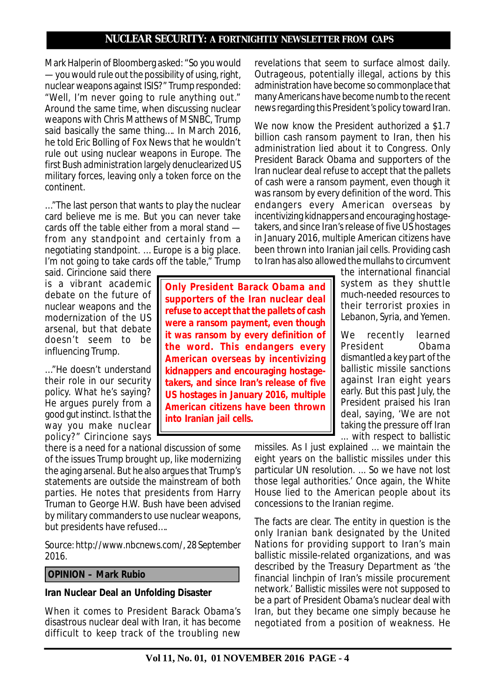Mark Halperin of Bloomberg asked: "So you would — you would rule out the possibility of using, right, nuclear weapons against ISIS?" Trump responded: "Well, I'm never going to rule anything out." Around the same time, when discussing nuclear weapons with Chris Matthews of MSNBC, Trump said basically the same thing…. In March 2016, he told Eric Bolling of Fox News that he wouldn't rule out using nuclear weapons in Europe. The first Bush administration largely denuclearized US military forces, leaving only a token force on the continent.

…"The last person that wants to play the nuclear card believe me is me. But you can never take cards off the table either from a moral stand from any standpoint and certainly from a negotiating standpoint. … Europe is a big place. I'm not going to take cards off the table," Trump

said. Cirincione said there is a vibrant academic debate on the future of nuclear weapons and the modernization of the US arsenal, but that debate doesn't seem to be influencing Trump.

…"He doesn't understand their role in our security policy. What he's saying? He argues purely from a good gut instinct. Is that the way you make nuclear policy?" Cirincione says

there is a need for a national discussion of some of the issues Trump brought up, like modernizing the aging arsenal. But he also argues that Trump's statements are outside the mainstream of both parties. He notes that presidents from Harry Truman to George H.W. Bush have been advised by military commanders to use nuclear weapons, but presidents have refused….

*Source: http://www.nbcnews.com/, 28 September 2016.*

### **OPINION – Mark Rubio**

#### **Iran Nuclear Deal an Unfolding Disaster**

When it comes to President Barack Obama's disastrous nuclear deal with Iran, it has become difficult to keep track of the troubling new revelations that seem to surface almost daily. Outrageous, potentially illegal, actions by this administration have become so commonplace that many Americans have become numb to the recent news regarding this President's policy toward Iran.

We now know the President authorized a \$1.7 billion cash ransom payment to Iran, then his administration lied about it to Congress. Only President Barack Obama and supporters of the Iran nuclear deal refuse to accept that the pallets of cash were a ransom payment, even though it was ransom by every definition of the word. This endangers every American overseas by incentivizing kidnappers and encouraging hostagetakers, and since Iran's release of five US hostages in January 2016, multiple American citizens have been thrown into Iranian jail cells. Providing cash to Iran has also allowed the mullahs to circumvent

**Only President Barack Obama and supporters of the Iran nuclear deal refuse to accept that the pallets of cash were a ransom payment, even though it was ransom by every definition of the word. This endangers every American overseas by incentivizing kidnappers and encouraging hostagetakers, and since Iran's release of five US hostages in January 2016, multiple American citizens have been thrown into Iranian jail cells.**

the international financial system as they shuttle much-needed resources to their terrorist proxies in Lebanon, Syria, and Yemen.

We recently learned President Obama dismantled a key part of the ballistic missile sanctions against Iran eight years early. But this past July, the President praised his Iran deal, saying, 'We are not taking the pressure off Iran ... with respect to ballistic

missiles. As I just explained ... we maintain the eight years on the ballistic missiles under this particular UN resolution. ... So we have not lost those legal authorities.' Once again, the White House lied to the American people about its concessions to the Iranian regime.

The facts are clear. The entity in question is the only Iranian bank designated by the United Nations for providing support to Iran's main ballistic missile-related organizations, and was described by the Treasury Department as 'the financial linchpin of Iran's missile procurement network.' Ballistic missiles were not supposed to be a part of President Obama's nuclear deal with Iran, but they became one simply because he negotiated from a position of weakness. He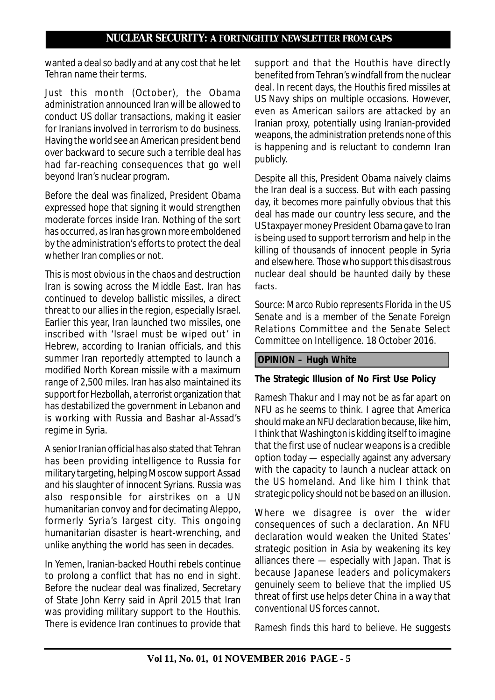wanted a deal so badly and at any cost that he let Tehran name their terms.

Just this month (October), the Obama administration announced Iran will be allowed to conduct US dollar transactions, making it easier for Iranians involved in terrorism to do business. Having the world see an American president bend over backward to secure such a terrible deal has had far-reaching consequences that go well beyond Iran's nuclear program.

Before the deal was finalized, President Obama expressed hope that signing it would strengthen moderate forces inside Iran. Nothing of the sort has occurred, as Iran has grown more emboldened by the administration's efforts to protect the deal whether Iran complies or not.

This is most obvious in the chaos and destruction Iran is sowing across the Middle East. Iran has continued to develop ballistic missiles, a direct threat to our allies in the region, especially Israel. Earlier this year, Iran launched two missiles, one inscribed with 'Israel must be wiped out' in Hebrew, according to Iranian officials, and this summer Iran reportedly attempted to launch a modified North Korean missile with a maximum range of 2,500 miles. Iran has also maintained its support for Hezbollah, a terrorist organization that has destabilized the government in Lebanon and is working with Russia and Bashar al-Assad's regime in Syria.

A senior Iranian official has also stated that Tehran has been providing intelligence to Russia for military targeting, helping Moscow support Assad and his slaughter of innocent Syrians. Russia was also responsible for airstrikes on a UN humanitarian convoy and for decimating Aleppo, formerly Syria's largest city. This ongoing humanitarian disaster is heart-wrenching, and unlike anything the world has seen in decades.

In Yemen, Iranian-backed Houthi rebels continue to prolong a conflict that has no end in sight. Before the nuclear deal was finalized, Secretary of State John Kerry said in April 2015 that Iran was providing military support to the Houthis. There is evidence Iran continues to provide that support and that the Houthis have directly benefited from Tehran's windfall from the nuclear deal. In recent days, the Houthis fired missiles at US Navy ships on multiple occasions. However, even as American sailors are attacked by an Iranian proxy, potentially using Iranian-provided weapons, the administration pretends none of this is happening and is reluctant to condemn Iran publicly.

Despite all this, President Obama naively claims the Iran deal is a success. But with each passing day, it becomes more painfully obvious that this deal has made our country less secure, and the US taxpayer money President Obama gave to Iran is being used to support terrorism and help in the killing of thousands of innocent people in Syria and elsewhere. Those who support this disastrous nuclear deal should be haunted daily by these facts.

*Source: Marco Rubio represents Florida in the US Senate and is a member of the Senate Foreign Relations Committee and the Senate Select Committee on Intelligence. 18 October 2016.*

# **OPINION – Hugh White**

### **The Strategic Illusion of No First Use Policy**

Ramesh Thakur and I may not be as far apart on NFU as he seems to think. I agree that America should make an NFU declaration because, like him, I think that Washington is kidding itself to imagine that the first use of nuclear weapons is a credible option today — especially against any adversary with the capacity to launch a nuclear attack on the US homeland. And like him I think that strategic policy should not be based on an illusion.

Where we disagree is over the wider consequences of such a declaration. An NFU declaration would weaken the United States' strategic position in Asia by weakening its key alliances there — especially with Japan. That is because Japanese leaders and policymakers genuinely seem to believe that the implied US threat of first use helps deter China in a way that conventional US forces cannot.

Ramesh finds this hard to believe. He suggests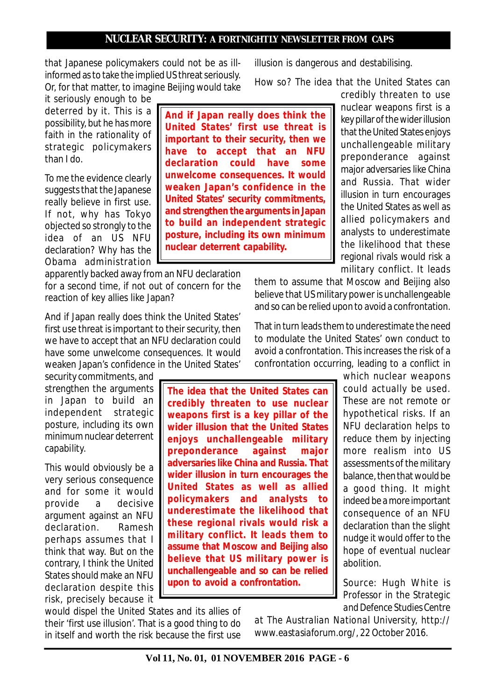**And if Japan really does think the United States' first use threat is important to their security, then we have to accept that an NFU declaration could have some unwelcome consequences. It would weaken Japan's confidence in the United States' security commitments, and strengthen the arguments in Japan to build an independent strategic posture, including its own minimum**

**nuclear deterrent capability.**

that Japanese policymakers could not be as illinformed as to take the implied US threat seriously. Or, for that matter, to imagine Beijing would take

it seriously enough to be deterred by it. This is a possibility, but he has more faith in the rationality of strategic policymakers than I do.

To me the evidence clearly suggests that the Japanese really believe in first use. If not, why has Tokyo objected so strongly to the idea of an US NFU declaration? Why has the Obama administration

apparently backed away from an NFU declaration for a second time, if not out of concern for the reaction of key allies like Japan?

And if Japan really does think the United States' first use threat is important to their security, then we have to accept that an NFU declaration could have some unwelcome consequences. It would weaken Japan's confidence in the United States'

security commitments, and strengthen the arguments in Japan to build an independent strategic posture, including its own minimum nuclear deterrent capability.

This would obviously be a very serious consequence and for some it would provide a decisive argument against an NFU declaration. Ramesh perhaps assumes that I think that way. But on the contrary, I think the United States should make an NFU declaration despite this risk, precisely because it

**The idea that the United States can credibly threaten to use nuclear weapons first is a key pillar of the wider illusion that the United States enjoys unchallengeable military preponderance against major adversaries like China and Russia. That wider illusion in turn encourages the United States as well as allied policymakers and analysts to underestimate the likelihood that these regional rivals would risk a military conflict. It leads them to assume that Moscow and Beijing also believe that US military power is unchallengeable and so can be relied upon to avoid a confrontation.**

would dispel the United States and its allies of their 'first use illusion'. That is a good thing to do in itself and worth the risk because the first use illusion is dangerous and destabilising.

How so? The idea that the United States can credibly threaten to use

nuclear weapons first is a key pillar of the wider illusion that the United States enjoys unchallengeable military preponderance against major adversaries like China and Russia. That wider illusion in turn encourages the United States as well as allied policymakers and analysts to underestimate the likelihood that these regional rivals would risk a military conflict. It leads

them to assume that Moscow and Beijing also believe that US military power is unchallengeable and so can be relied upon to avoid a confrontation.

That in turn leads them to underestimate the need to modulate the United States' own conduct to avoid a confrontation. This increases the risk of a confrontation occurring, leading to a conflict in

> which nuclear weapons could actually be used. These are not remote or hypothetical risks. If an NFU declaration helps to reduce them by injecting more realism into US assessments of the military balance, then that would be a good thing. It might indeed be a more important consequence of an NFU declaration than the slight nudge it would offer to the hope of eventual nuclear abolition.

> *Source: Hugh White is Professor in the Strategic and Defence Studies Centre*

*at The Australian National University, http:// www.eastasiaforum.org/, 22 October 2016.*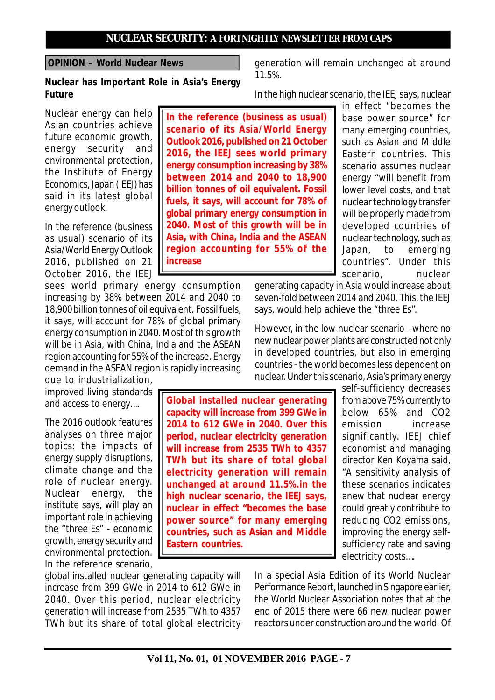**In the reference (business as usual) scenario of its Asia/World Energy Outlook 2016, published on 21 October 2016, the IEEJ sees world primary energy consumption increasing by 38% between 2014 and 2040 to 18,900 billion tonnes of oil equivalent. Fossil fuels, it says, will account for 78% of global primary energy consumption in 2040. Most of this growth will be in Asia, with China, India and the ASEAN region accounting for 55% of the**

 **OPINION – World Nuclear News**

### **Nuclear has Important Role in Asia's Energy Future**

Nuclear energy can help Asian countries achieve future economic growth, energy security and environmental protection, the Institute of Energy Economics, Japan (IEEJ) has said in its latest global energy outlook.

In the reference (business as usual) scenario of its Asia/World Energy Outlook 2016, published on 21 October 2016, the IEEJ

sees world primary energy consumption increasing by 38% between 2014 and 2040 to 18,900 billion tonnes of oil equivalent. Fossil fuels, it says, will account for 78% of global primary energy consumption in 2040. Most of this growth will be in Asia, with China, India and the ASEAN region accounting for 55% of the increase. Energy demand in the ASEAN region is rapidly increasing

due to industrialization, improved living standards and access to energy….

The 2016 outlook features analyses on three major topics: the impacts of energy supply disruptions, climate change and the role of nuclear energy. Nuclear energy, the institute says, will play an important role in achieving the "three Es" - economic growth, energy security and environmental protection. In the reference scenario,

global installed nuclear generating capacity will increase from 399 GWe in 2014 to 612 GWe in 2040. Over this period, nuclear electricity generation will increase from 2535 TWh to 4357 TWh but its share of total global electricity generation will remain unchanged at around 11.5%.

In the high nuclear scenario, the IEEJ says, nuclear

in effect "becomes the base power source" for many emerging countries, such as Asian and Middle Eastern countries. This scenario assumes nuclear energy "will benefit from lower level costs, and that nuclear technology transfer will be properly made from developed countries of nuclear technology, such as Japan, to emerging countries". Under this scenario, nuclear

generating capacity in Asia would increase about seven-fold between 2014 and 2040. This, the IEEJ says, would help achieve the "three Es".

However, in the low nuclear scenario - where no new nuclear power plants are constructed not only in developed countries, but also in emerging countries - the world becomes less dependent on nuclear. Under this scenario, Asia's primary energy

**Global installed nuclear generating capacity will increase from 399 GWe in 2014 to 612 GWe in 2040. Over this period, nuclear electricity generation will increase from 2535 TWh to 4357 TWh but its share of total global electricity generation will remain unchanged at around 11.5%.in the high nuclear scenario, the IEEJ says, nuclear in effect "becomes the base power source" for many emerging countries, such as Asian and Middle Eastern countries.**

self-sufficiency decreases from above 75% currently to below 65% and CO2 emission increase significantly. IEEJ chief economist and managing director Ken Koyama said, "A sensitivity analysis of these scenarios indicates anew that nuclear energy could greatly contribute to reducing CO2 emissions, improving the energy selfsufficiency rate and saving electricity costs….

In a special Asia Edition of its World Nuclear Performance Report, launched in Singapore earlier, the World Nuclear Association notes that at the end of 2015 there were 66 new nuclear power reactors under construction around the world. Of

**increase**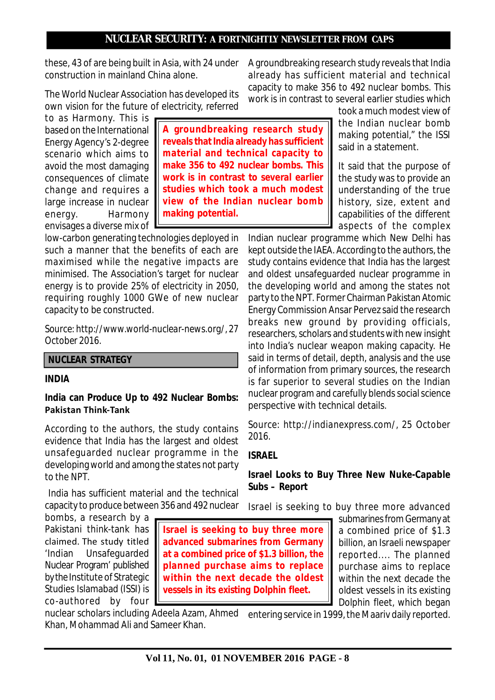these, 43 of are being built in Asia, with 24 under construction in mainland China alone.

The World Nuclear Association has developed its own vision for the future of electricity, referred

to as Harmony. This is based on the International Energy Agency's 2-degree scenario which aims to avoid the most damaging consequences of climate change and requires a large increase in nuclear energy. Harmony envisages a diverse mix of

**reveals that India already has sufficient material and technical capacity to make 356 to 492 nuclear bombs. This work is in contrast to several earlier studies which took a much modest view of the Indian nuclear bomb making potential.**

**A groundbreaking research study**

low-carbon generating technologies deployed in such a manner that the benefits of each are maximised while the negative impacts are minimised. The Association's target for nuclear energy is to provide 25% of electricity in 2050, requiring roughly 1000 GWe of new nuclear capacity to be constructed.

*Source: http://www.world-nuclear-news.org/, 27 October 2016.*

### **NUCLEAR STRATEGY**

### **INDIA**

#### **India can Produce Up to 492 Nuclear Bombs: Pakistan Think-Tank**

According to the authors, the study contains evidence that India has the largest and oldest unsafeguarded nuclear programme in the developing world and among the states not party to the NPT.

 India has sufficient material and the technical capacity to produce between 356 and 492 nuclear

bombs, a research by a Pakistani think-tank has claimed. The study titled 'Indian Unsafeguarded Nuclear Program' published by the Institute of Strategic Studies Islamabad (ISSI) is co-authored by four

**Israel is seeking to buy three more advanced submarines from Germany at a combined price of \$1.3 billion, the planned purchase aims to replace within the next decade the oldest vessels in its existing Dolphin fleet.**

A groundbreaking research study reveals that India already has sufficient material and technical capacity to make 356 to 492 nuclear bombs. This work is in contrast to several earlier studies which

> took a much modest view of the Indian nuclear bomb making potential," the ISSI said in a statement.

> It said that the purpose of the study was to provide an understanding of the true history, size, extent and capabilities of the different aspects of the complex

Indian nuclear programme which New Delhi has kept outside the IAEA. According to the authors, the study contains evidence that India has the largest and oldest unsafeguarded nuclear programme in the developing world and among the states not party to the NPT. Former Chairman Pakistan Atomic Energy Commission Ansar Pervez said the research breaks new ground by providing officials, researchers, scholars and students with new insight into India's nuclear weapon making capacity. He said in terms of detail, depth, analysis and the use of information from primary sources, the research is far superior to several studies on the Indian nuclear program and carefully blends social science perspective with technical details.

*Source: http://indianexpress.com/, 25 October 2016.*

### **ISRAEL**

## **Israel Looks to Buy Three New Nuke-Capable Subs – Report**

Israel is seeking to buy three more advanced

submarines from Germany at a combined price of \$1.3 billion, an Israeli newspaper reported.... The planned purchase aims to replace within the next decade the oldest vessels in its existing Dolphin fleet, which began

nuclear scholars including Adeela Azam, Ahmed Khan, Mohammad Ali and Sameer Khan. entering service in 1999, the Maariv daily reported.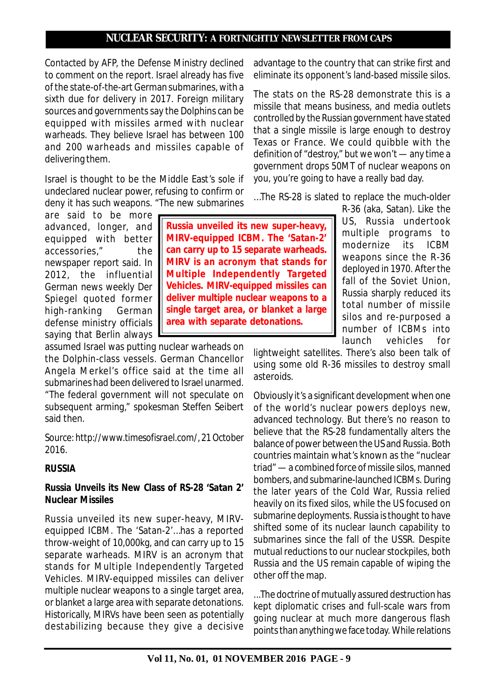Contacted by AFP, the Defense Ministry declined to comment on the report. Israel already has five of the state-of-the-art German submarines, with a sixth due for delivery in 2017. Foreign military sources and governments say the Dolphins can be equipped with missiles armed with nuclear warheads. They believe Israel has between 100 and 200 warheads and missiles capable of delivering them.

Israel is thought to be the Middle East's sole if undeclared nuclear power, refusing to confirm or deny it has such weapons. "The new submarines

are said to be more advanced, longer, and equipped with better accessories," the newspaper report said. In 2012, the influential German news weekly Der Spiegel quoted former high-ranking German defense ministry officials saying that Berlin always

assumed Israel was putting nuclear warheads on the Dolphin-class vessels. German Chancellor Angela Merkel's office said at the time all submarines had been delivered to Israel unarmed. "The federal government will not speculate on subsequent arming," spokesman Steffen Seibert said then.

*Source: http://www.timesofisrael.com/, 21 October 2016.*

### **RUSSIA**

## **Russia Unveils its New Class of RS-28 'Satan 2' Nuclear Missiles**

Russia unveiled its new super-heavy, MIRVequipped ICBM. The 'Satan-2'…has a reported throw-weight of 10,000kg, and can carry up to 15 separate warheads. MIRV is an acronym that stands for Multiple Independently Targeted Vehicles. MIRV-equipped missiles can deliver multiple nuclear weapons to a single target area, or blanket a large area with separate detonations. Historically, MIRVs have been seen as potentially destabilizing because they give a decisive advantage to the country that can strike first and eliminate its opponent's land-based missile silos.

The stats on the RS-28 demonstrate this is a missile that means business, and media outlets controlled by the Russian government have stated that a single missile is large enough to destroy Texas or France. We could quibble with the definition of "destroy," but we won't — any time a government drops 50MT of nuclear weapons on you, you're going to have a really bad day.

…The RS-28 is slated to replace the much-older

R-36 (aka, Satan). Like the US, Russia undertook multiple programs to modernize its ICBM weapons since the R-36 deployed in 1970. After the fall of the Soviet Union, Russia sharply reduced its total number of missile silos and re-purposed a number of ICBMs into launch vehicles for

lightweight satellites. There's also been talk of using some old R-36 missiles to destroy small asteroids.

Obviously it's a significant development when one of the world's nuclear powers deploys new, advanced technology. But there's no reason to believe that the RS-28 fundamentally alters the balance of power between the US and Russia. Both countries maintain what's known as the "nuclear triad" — a combined force of missile silos, manned bombers, and submarine-launched ICBMs. During the later years of the Cold War, Russia relied heavily on its fixed silos, while the US focused on submarine deployments. Russia is thought to have shifted some of its nuclear launch capability to submarines since the fall of the USSR. Despite mutual reductions to our nuclear stockpiles, both Russia and the US remain capable of wiping the

...The doctrine of mutually assured destruction has kept diplomatic crises and full-scale wars from going nuclear at much more dangerous flash points than anything we face today. While relations

other off the map.

**Russia unveiled its new super-heavy, MIRV-equipped ICBM. The 'Satan-2' can carry up to 15 separate warheads. MIRV is an acronym that stands for Multiple Independently Targeted Vehicles. MIRV-equipped missiles can deliver multiple nuclear weapons to a single target area, or blanket a large area with separate detonations.**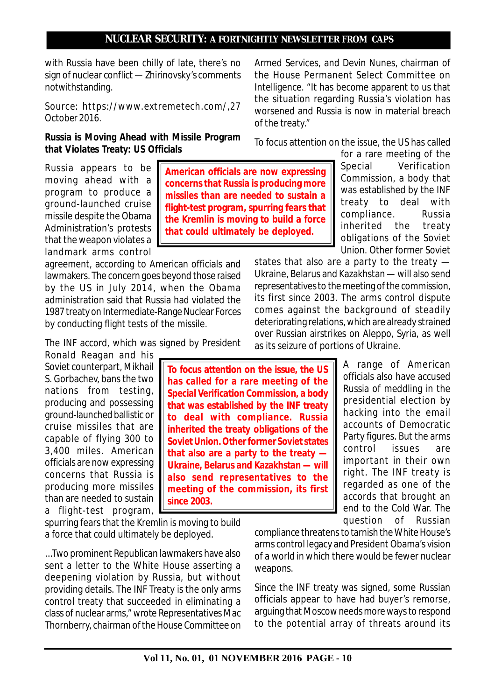with Russia have been chilly of late, there's no sign of nuclear conflict — Zhirinovsky's comments notwithstanding.

*Source: https://www.extremetech.com/,27 October 2016.*

#### **Russia is Moving Ahead with Missile Program that Violates Treaty: US Officials**

Russia appears to be moving ahead with a program to produce a ground-launched cruise missile despite the Obama Administration's protests that the weapon violates a landmark arms control

agreement, according to American officials and lawmakers. The concern goes beyond those raised by the US in July 2014, when the Obama administration said that Russia had violated the 1987 treaty on Intermediate-Range Nuclear Forces by conducting flight tests of the missile.

The INF accord, which was signed by President

Ronald Reagan and his Soviet counterpart, Mikhail S. Gorbachev, bans the two nations from testing, producing and possessing ground-launched ballistic or cruise missiles that are capable of flying 300 to 3,400 miles. American officials are now expressing concerns that Russia is producing more missiles than are needed to sustain a flight-test program,

spurring fears that the Kremlin is moving to build a force that could ultimately be deployed.

**since 2003.**

…Two prominent Republican lawmakers have also sent a letter to the White House asserting a deepening violation by Russia, but without providing details. The INF Treaty is the only arms control treaty that succeeded in eliminating a class of nuclear arms," wrote Representatives Mac Thornberry, chairman of the House Committee on

**American officials are now expressing concerns that Russia is producing more missiles than are needed to sustain a flight-test program, spurring fears that the Kremlin is moving to build a force that could ultimately be deployed.**

**To focus attention on the issue, the US has called for a rare meeting of the Special Verification Commission, a body that was established by the INF treaty to deal with compliance. Russia inherited the treaty obligations of the Soviet Union. Other former Soviet states that also are a party to the treaty — Ukraine, Belarus and Kazakhstan — will also send representatives to the meeting of the commission, its first**

Armed Services, and Devin Nunes, chairman of the House Permanent Select Committee on Intelligence. "It has become apparent to us that the situation regarding Russia's violation has worsened and Russia is now in material breach of the treaty."

To focus attention on the issue, the US has called

for a rare meeting of the Special Verification Commission, a body that was established by the INF treaty to deal with compliance. Russia inherited the treaty obligations of the Soviet Union. Other former Soviet

states that also are a party to the treaty — Ukraine, Belarus and Kazakhstan — will also send representatives to the meeting of the commission, its first since 2003. The arms control dispute comes against the background of steadily deteriorating relations, which are already strained over Russian airstrikes on Aleppo, Syria, as well as its seizure of portions of Ukraine.

> A range of American officials also have accused Russia of meddling in the presidential election by hacking into the email accounts of Democratic Party figures. But the arms control issues are important in their own right. The INF treaty is regarded as one of the accords that brought an end to the Cold War. The question of Russian

compliance threatens to tarnish the White House's arms control legacy and President Obama's vision of a world in which there would be fewer nuclear weapons.

Since the INF treaty was signed, some Russian officials appear to have had buyer's remorse, arguing that Moscow needs more ways to respond to the potential array of threats around its

**Vol 11, No. 01, 01 NOVEMBER 2016 PAGE - 10**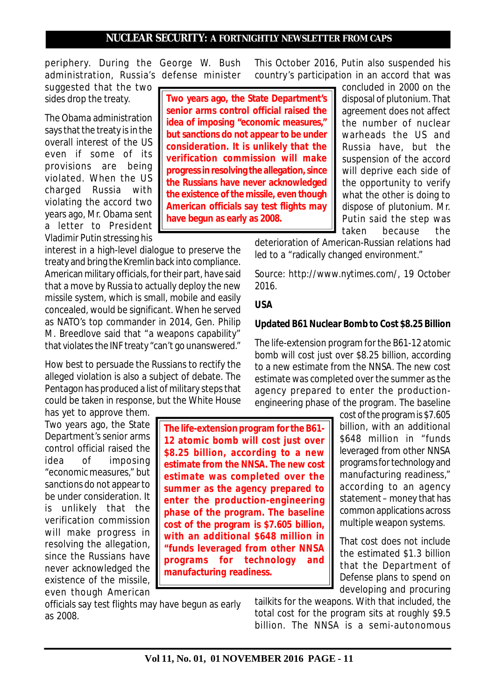periphery. During the George W. Bush administration, Russia's defense minister suggested that the two sides drop the treaty.

The Obama administration says that the treaty is in the overall interest of the US even if some of its provisions are being violated. When the US charged Russia with violating the accord two years ago, Mr. Obama sent a letter to President Vladimir Putin stressing his

interest in a high-level dialogue to preserve the treaty and bring the Kremlin back into compliance. American military officials, for their part, have said that a move by Russia to actually deploy the new missile system, which is small, mobile and easily concealed, would be significant. When he served as NATO's top commander in 2014, Gen. Philip M. Breedlove said that "a weapons capability" that violates the INF treaty "can't go unanswered."

How best to persuade the Russians to rectify the alleged violation is also a subject of debate. The Pentagon has produced a list of military steps that could be taken in response, but the White House

has yet to approve them. Two years ago, the State Department's senior arms control official raised the idea of imposing "economic measures," but sanctions do not appear to be under consideration. It is unlikely that the verification commission will make progress in resolving the allegation, since the Russians have never acknowledged the existence of the missile, even though American

This October 2016, Putin also suspended his country's participation in an accord that was

**Two years ago, the State Department's senior arms control official raised the idea of imposing "economic measures," but sanctions do not appear to be under consideration. It is unlikely that the verification commission will make progress in resolving the allegation, since the Russians have never acknowledged the existence of the missile, even though American officials say test flights may have begun as early as 2008.**

concluded in 2000 on the disposal of plutonium. That agreement does not affect the number of nuclear warheads the US and Russia have, but the suspension of the accord will deprive each side of the opportunity to verify what the other is doing to dispose of plutonium. Mr. Putin said the step was taken because the

deterioration of American-Russian relations had led to a "radically changed environment."

*Source: http://www.nytimes.com/, 19 October 2016.*

## **USA**

**The life-extension program for the B61- 12 atomic bomb will cost just over \$8.25 billion, according to a new estimate from the NNSA. The new cost estimate was completed over the summer as the agency prepared to enter the production-engineering phase of the program. The baseline cost of the program is \$7.605 billion, with an additional \$648 million in "funds leveraged from other NNSA programs for technology and**

#### **Updated B61 Nuclear Bomb to Cost \$8.25 Billion**

The life-extension program for the B61-12 atomic bomb will cost just over \$8.25 billion, according to a new estimate from the NNSA. The new cost estimate was completed over the summer as the agency prepared to enter the productionengineering phase of the program. The baseline

> cost of the program is \$7.605 billion, with an additional \$648 million in "funds leveraged from other NNSA programs for technology and manufacturing readiness," according to an agency statement – money that has common applications across multiple weapon systems.

> That cost does not include the estimated \$1.3 billion that the Department of Defense plans to spend on developing and procuring

officials say test flights may have begun as early as 2008.

tailkits for the weapons. With that included, the total cost for the program sits at roughly \$9.5 billion. The NNSA is a semi-autonomous

**manufacturing readiness.**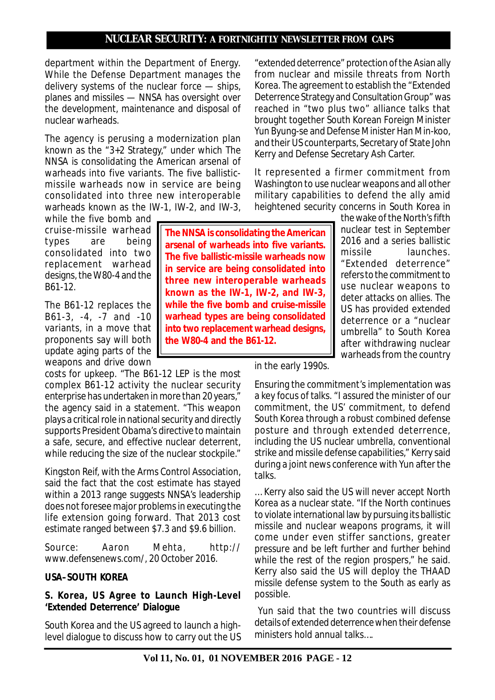department within the Department of Energy. While the Defense Department manages the delivery systems of the nuclear force — ships, planes and missiles — NNSA has oversight over the development, maintenance and disposal of nuclear warheads.

The agency is perusing a modernization plan known as the "3+2 Strategy," under which The NNSA is consolidating the American arsenal of warheads into five variants. The five ballisticmissile warheads now in service are being consolidated into three new interoperable warheads known as the IW-1, IW-2, and IW-3,

while the five bomb and cruise-missile warhead types are being consolidated into two replacement warhead designs, the W80-4 and the B61-12.

The B61-12 replaces the B61-3, -4, -7 and -10 variants, in a move that proponents say will both update aging parts of the weapons and drive down

costs for upkeep. "The B61-12 LEP is the most complex B61-12 activity the nuclear security enterprise has undertaken in more than 20 years," the agency said in a statement. "This weapon plays a critical role in national security and directly supports President Obama's directive to maintain a safe, secure, and effective nuclear deterrent, while reducing the size of the nuclear stockpile."

Kingston Reif, with the Arms Control Association, said the fact that the cost estimate has stayed within a 2013 range suggests NNSA's leadership does not foresee major problems in executing the life extension going forward. That 2013 cost estimate ranged between \$7.3 and \$9.6 billion.

*Source: Aaron Mehta, http:// www.defensenews.com/, 20 October 2016.*

### **USA–SOUTH KOREA**

#### **S. Korea, US Agree to Launch High-Level 'Extended Deterrence' Dialogue**

South Korea and the US agreed to launch a highlevel dialogue to discuss how to carry out the US

"extended deterrence" protection of the Asian ally from nuclear and missile threats from North Korea. The agreement to establish the "Extended Deterrence Strategy and Consultation Group" was reached in "two plus two" alliance talks that brought together South Korean Foreign Minister Yun Byung-se and Defense Minister Han Min-koo, and their US counterparts, Secretary of State John Kerry and Defense Secretary Ash Carter.

It represented a firmer commitment from Washington to use nuclear weapons and all other military capabilities to defend the ally amid heightened security concerns in South Korea in

**The NNSA is consolidating the American arsenal of warheads into five variants. The five ballistic-missile warheads now in service are being consolidated into three new interoperable warheads known as the IW-1, IW-2, and IW-3, while the five bomb and cruise-missile warhead types are being consolidated into two replacement warhead designs, the W80-4 and the B61-12.**

the wake of the North's fifth nuclear test in September 2016 and a series ballistic missile launches. "Extended deterrence" refers to the commitment to use nuclear weapons to deter attacks on allies. The US has provided extended deterrence or a "nuclear umbrella" to South Korea after withdrawing nuclear warheads from the country

in the early 1990s.

Ensuring the commitment's implementation was a key focus of talks. "I assured the minister of our commitment, the US' commitment, to defend South Korea through a robust combined defense posture and through extended deterrence, including the US nuclear umbrella, conventional strike and missile defense capabilities," Kerry said during a joint news conference with Yun after the talks.

… Kerry also said the US will never accept North Korea as a nuclear state. "If the North continues to violate international law by pursuing its ballistic missile and nuclear weapons programs, it will come under even stiffer sanctions, greater pressure and be left further and further behind while the rest of the region prospers," he said. Kerry also said the US will deploy the THAAD missile defense system to the South as early as possible.

 Yun said that the two countries will discuss details of extended deterrence when their defense ministers hold annual talks….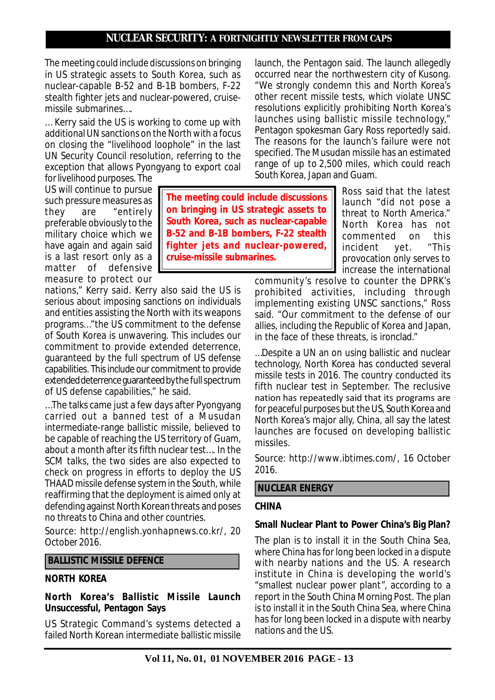The meeting could include discussions on bringing in US strategic assets to South Korea, such as nuclear-capable B-52 and B-1B bombers, F-22 stealth fighter jets and nuclear-powered, cruisemissile submarines….

… Kerry said the US is working to come up with additional UN sanctions on the North with a focus on closing the "livelihood loophole" in the last UN Security Council resolution, referring to the exception that allows Pyongyang to export coal

for livelihood purposes. The US will continue to pursue such pressure measures as they are "entirely preferable obviously to the military choice which we have again and again said is a last resort only as a matter of defensive measure to protect our

nations," Kerry said. Kerry also said the US is serious about imposing sanctions on individuals and entities assisting the North with its weapons programs…"the US commitment to the defense of South Korea is unwavering. This includes our commitment to provide extended deterrence, guaranteed by the full spectrum of US defense capabilities. This include our commitment to provide extended deterrence guaranteed by the full spectrum of US defense capabilities," he said.

…The talks came just a few days after Pyongyang carried out a banned test of a Musudan intermediate-range ballistic missile, believed to be capable of reaching the US territory of Guam, about a month after its fifth nuclear test…. In the SCM talks, the two sides are also expected to check on progress in efforts to deploy the US THAAD missile defense system in the South, while reaffirming that the deployment is aimed only at defending against North Korean threats and poses no threats to China and other countries.

*Source: http://english.yonhapnews.co.kr/, 20 October 2016.*

#### **BALLISTIC MISSILE DEFENCE**

#### **NORTH KOREA**

#### **North Korea's Ballistic Missile Launch Unsuccessful, Pentagon Says**

US Strategic Command's systems detected a failed North Korean intermediate ballistic missile launch, the Pentagon said. The launch allegedly occurred near the northwestern city of Kusong. "We strongly condemn this and North Korea's other recent missile tests, which violate UNSC resolutions explicitly prohibiting North Korea's launches using ballistic missile technology," Pentagon spokesman Gary Ross reportedly said. The reasons for the launch's failure were not specified. The Musudan missile has an estimated range of up to 2,500 miles, which could reach South Korea, Japan and Guam.

**The meeting could include discussions on bringing in US strategic assets to South Korea, such as nuclear-capable B-52 and B-1B bombers, F-22 stealth fighter jets and nuclear-powered, cruise-missile submarines.**

Ross said that the latest launch "did not pose a threat to North America." North Korea has not commented on this<br>incident vet. "This incident yet. provocation only serves to increase the international

community's resolve to counter the DPRK's prohibited activities, including through implementing existing UNSC sanctions," Ross said. "Our commitment to the defense of our allies, including the Republic of Korea and Japan, in the face of these threats, is ironclad."

…Despite a UN an on using ballistic and nuclear technology, North Korea has conducted several missile tests in 2016. The country conducted its fifth nuclear test in September. The reclusive nation has repeatedly said that its programs are for peaceful purposes but the US, South Korea and North Korea's major ally, China, all say the latest launches are focused on developing ballistic missiles.

*Source: http://www.ibtimes.com/, 16 October 2016.*

#### **NUCLEAR ENERGY**

#### **CHINA**

#### **Small Nuclear Plant to Power China's Big Plan?**

The plan is to install it in the South China Sea, where China has for long been locked in a dispute with nearby nations and the US. A research institute in China is developing the world's "smallest nuclear power plant", according to a report in the South China Morning Post. The plan is to install it in the South China Sea, where China has for long been locked in a dispute with nearby nations and the US.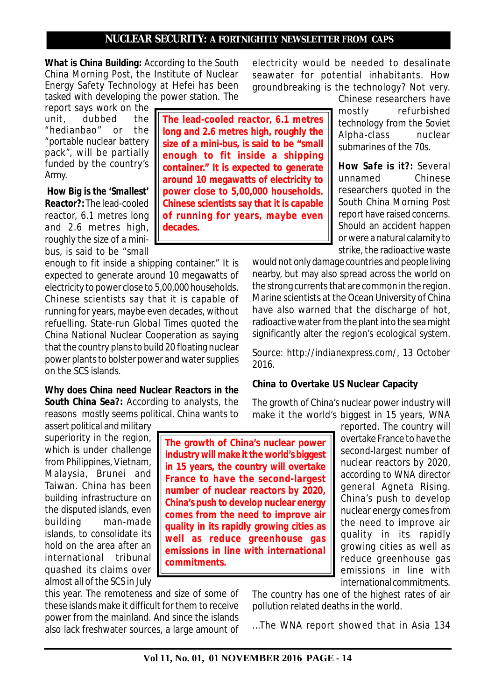**The lead-cooled reactor, 6.1 metres long and 2.6 metres high, roughly the size of a mini-bus, is said to be "small enough to fit inside a shipping container." It is expected to generate around 10 megawatts of electricity to power close to 5,00,000 households. Chinese scientists say that it is capable of running for years, maybe even**

*What is China Building:* According to the South China Morning Post, the Institute of Nuclear Energy Safety Technology at Hefei has been tasked with developing the power station. The

report says work on the unit, dubbed the "hedianbao" or the "portable nuclear battery pack", will be partially funded by the country's Army.

*How Big is the 'Smallest' Reactor?:* The lead-cooled reactor, 6.1 metres long and 2.6 metres high, roughly the size of a minibus, is said to be "small

enough to fit inside a shipping container." It is expected to generate around 10 megawatts of electricity to power close to 5,00,000 households. Chinese scientists say that it is capable of running for years, maybe even decades, without refuelling. State-run *Global Times* quoted the China National Nuclear Cooperation as saying that the country plans to build 20 floating nuclear power plants to bolster power and water supplies on the SCS islands.

**decades.**

*Why does China need Nuclear Reactors in the South China Sea?:* According to analysts, the reasons mostly seems political. China wants to

assert political and military superiority in the region, which is under challenge from Philippines, Vietnam, Malaysia, Brunei and Taiwan. China has been building infrastructure on the disputed islands, even building man-made islands, to consolidate its hold on the area after an international tribunal quashed its claims over almost all of the SCS in July

**The growth of China's nuclear power industry will make it the world's biggest in 15 years, the country will overtake France to have the second-largest number of nuclear reactors by 2020, China's push to develop nuclear energy comes from the need to improve air quality in its rapidly growing cities as well as reduce greenhouse gas emissions in line with international commitments.**

this year. The remoteness and size of some of these islands make it difficult for them to receive power from the mainland. And since the islands also lack freshwater sources, a large amount of

electricity would be needed to desalinate seawater for potential inhabitants. How groundbreaking is the technology? Not very.

> Chinese researchers have mostly refurbished technology from the Soviet Alpha-class nuclear submarines of the 70s.

> *How Safe is it?:* Several unnamed Chinese researchers quoted in the South China Morning Post report have raised concerns. Should an accident happen or were a natural calamity to strike, the radioactive waste

would not only damage countries and people living nearby, but may also spread across the world on the strong currents that are common in the region. Marine scientists at the Ocean University of China have also warned that the discharge of hot, radioactive water from the plant into the sea might significantly alter the region's ecological system.

*Source: http://indianexpress.com/, 13 October 2016.*

#### **China to Overtake US Nuclear Capacity**

The growth of China's nuclear power industry will make it the world's biggest in 15 years, WNA

> reported. The country will overtake France to have the second-largest number of nuclear reactors by 2020, according to WNA director general Agneta Rising. China's push to develop nuclear energy comes from the need to improve air quality in its rapidly growing cities as well as reduce greenhouse gas emissions in line with international commitments.

The country has one of the highest rates of air pollution related deaths in the world.

…The WNA report showed that in Asia 134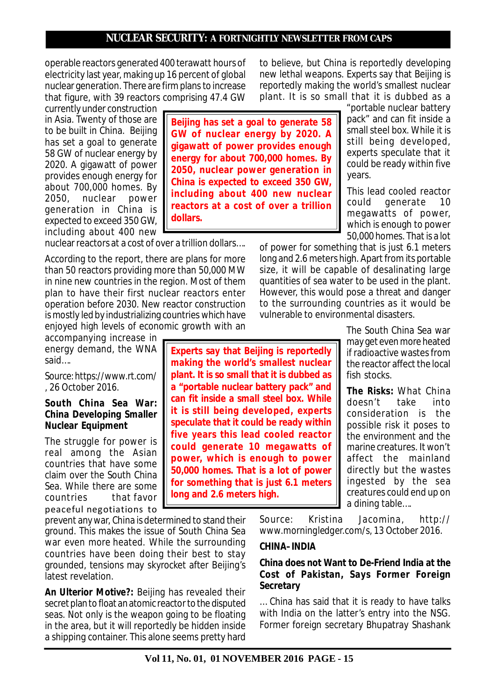operable reactors generated 400 terawatt hours of electricity last year, making up 16 percent of global nuclear generation. There are firm plans to increase that figure, with 39 reactors comprising 47.4 GW

currently under construction in Asia. Twenty of those are to be built in China. Beijing has set a goal to generate 58 GW of nuclear energy by 2020. A gigawatt of power provides enough energy for about 700,000 homes. By 2050, nuclear power generation in China is expected to exceed 350 GW, including about 400 new

nuclear reactors at a cost of over a trillion dollars….

According to the report, there are plans for more than 50 reactors providing more than 50,000 MW in nine new countries in the region. Most of them plan to have their first nuclear reactors enter operation before 2030. New reactor construction is mostly led by industrializing countries which have enjoyed high levels of economic growth with an

accompanying increase in energy demand, the WNA said….

#### *Source:https://www.rt.com/ , 26 October 2016.*

#### **South China Sea War: China Developing Smaller Nuclear Equipment**

The struggle for power is real among the Asian countries that have some claim over the South China Sea. While there are some countries that favor peaceful negotiations to

prevent any war, China is determined to stand their ground. This makes the issue of South China Sea war even more heated. While the surrounding countries have been doing their best to stay grounded, tensions may skyrocket after Beijing's latest revelation.

*An Ulterior Motive?:* Beijing has revealed their secret plan to float an atomic reactor to the disputed seas. Not only is the weapon going to be floating in the area, but it will reportedly be hidden inside a shipping container. This alone seems pretty hard

to believe, but China is reportedly developing new lethal weapons. Experts say that Beijing is reportedly making the world's smallest nuclear plant. It is so small that it is dubbed as a

> "portable nuclear battery pack" and can fit inside a small steel box. While it is still being developed, experts speculate that it could be ready within five

> This lead cooled reactor

**Beijing has set a goal to generate 58 GW of nuclear energy by 2020. A gigawatt of power provides enough energy for about 700,000 homes. By 2050, nuclear power generation in China is expected to exceed 350 GW, including about 400 new nuclear reactors at a cost of over a trillion dollars.**

could generate 10 megawatts of power, which is enough to power 50,000 homes. That is a lot of power for something that is just 6.1 meters long and 2.6 meters high. Apart from its portable size, it will be capable of desalinating large quantities of sea water to be used in the plant. However, this would pose a threat and danger

years.

The South China Sea war may get even more heated if radioactive wastes from the reactor affect the local fish stocks.

*The Risks:* What China doesn't take consideration is the possible risk it poses to the environment and the marine creatures. It won't affect the mainland directly but the wastes ingested by the sea creatures could end up on a dining table….

*Source: Kristina Jacomina, http:// www.morningledger.com/s, 13 October 2016.*

#### **CHINA–INDIA**

#### **China does not Want to De-Friend India at the Cost of Pakistan, Says Former Foreign Secretary**

… China has said that it is ready to have talks with India on the latter's entry into the NSG. Former foreign secretary Bhupatray Shashank

to the surrounding countries as it would be vulnerable to environmental disasters. **Experts say that Beijing is reportedly making the world's smallest nuclear plant. It is so small that it is dubbed as a "portable nuclear battery pack" and can fit inside a small steel box. While it is still being developed, experts speculate that it could be ready within five years this lead cooled reactor could generate 10 megawatts of power, which is enough to power 50,000 homes. That is a lot of power**

**for something that is just 6.1 meters**

**long and 2.6 meters high.**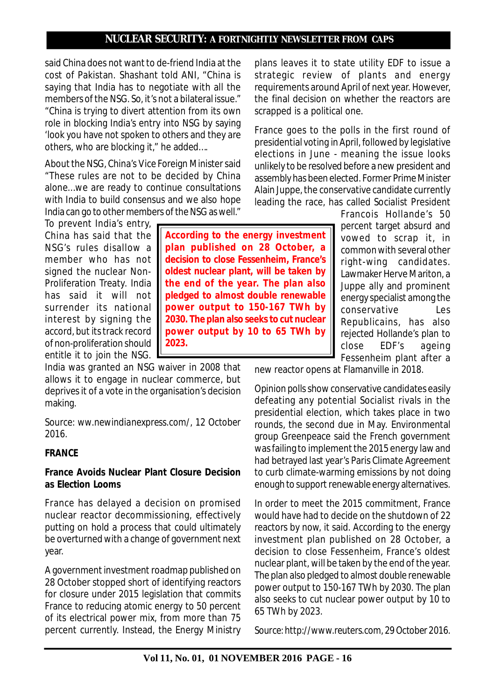said China does not want to de-friend India at the cost of Pakistan. Shashant told ANI, "China is saying that India has to negotiate with all the members of the NSG. So, it's not a bilateral issue." "China is trying to divert attention from its own role in blocking India's entry into NSG by saying 'look you have not spoken to others and they are others, who are blocking it," he added….

About the NSG, China's Vice Foreign Minister said "These rules are not to be decided by China alone...we are ready to continue consultations with India to build consensus and we also hope India can go to other members of the NSG as well."

To prevent India's entry, China has said that the NSG's rules disallow a member who has not signed the nuclear Non-Proliferation Treaty. India has said it will not surrender its national interest by signing the accord, but its track record of non-proliferation should entitle it to join the NSG.

India was granted an NSG waiver in 2008 that allows it to engage in nuclear commerce, but deprives it of a vote in the organisation's decision making.

*Source: ww.newindianexpress.com/, 12 October 2016.*

### **FRANCE**

### **France Avoids Nuclear Plant Closure Decision as Election Looms**

France has delayed a decision on promised nuclear reactor decommissioning, effectively putting on hold a process that could ultimately be overturned with a change of government next year.

A government investment roadmap published on 28 October stopped short of identifying reactors for closure under 2015 legislation that commits France to reducing atomic energy to 50 percent of its electrical power mix, from more than 75 percent currently. Instead, the Energy Ministry plans leaves it to state utility EDF to issue a strategic review of plants and energy requirements around April of next year. However, the final decision on whether the reactors are scrapped is a political one.

France goes to the polls in the first round of presidential voting in April, followed by legislative elections in June - meaning the issue looks unlikely to be resolved before a new president and assembly has been elected. Former Prime Minister Alain Juppe, the conservative candidate currently leading the race, has called Socialist President

> Francois Hollande's 50 percent target absurd and vowed to scrap it, in common with several other right-wing candidates. Lawmaker Herve Mariton, a Juppe ally and prominent energy specialist among the conservative Les Republicains, has also rejected Hollande's plan to close EDF's ageing Fessenheim plant after a

new reactor opens at Flamanville in 2018.

Opinion polls show conservative candidates easily defeating any potential Socialist rivals in the presidential election, which takes place in two rounds, the second due in May. Environmental group Greenpeace said the French government was failing to implement the 2015 energy law and had betrayed last year's Paris Climate Agreement to curb climate-warming emissions by not doing enough to support renewable energy alternatives.

In order to meet the 2015 commitment, France would have had to decide on the shutdown of 22 reactors by now, it said. According to the energy investment plan published on 28 October, a decision to close Fessenheim, France's oldest nuclear plant, will be taken by the end of the year. The plan also pledged to almost double renewable power output to 150-167 TWh by 2030. The plan also seeks to cut nuclear power output by 10 to 65 TWh by 2023.

*Source: http://www.reuters.com, 29 October 2016.*

**According to the energy investment plan published on 28 October, a decision to close Fessenheim, France's oldest nuclear plant, will be taken by the end of the year. The plan also pledged to almost double renewable power output to 150-167 TWh by 2030. The plan also seeks to cut nuclear power output by 10 to 65 TWh by 2023.**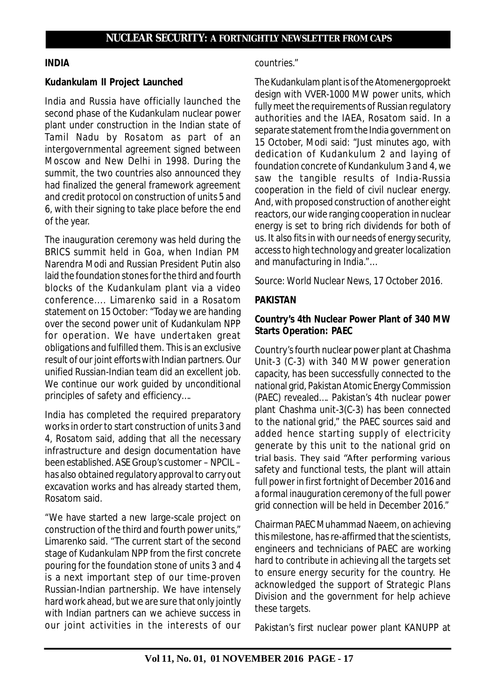#### **INDIA**

### **Kudankulam II Project Launched**

India and Russia have officially launched the second phase of the Kudankulam nuclear power plant under construction in the Indian state of Tamil Nadu by Rosatom as part of an intergovernmental agreement signed between Moscow and New Delhi in 1998. During the summit, the two countries also announced they had finalized the general framework agreement and credit protocol on construction of units 5 and 6, with their signing to take place before the end of the year.

The inauguration ceremony was held during the BRICS summit held in Goa, when Indian PM Narendra Modi and Russian President Putin also laid the foundation stones for the third and fourth blocks of the Kudankulam plant via a video conference.... Limarenko said in a Rosatom statement on 15 October: "Today we are handing over the second power unit of Kudankulam NPP for operation. We have undertaken great obligations and fulfilled them. This is an exclusive result of our joint efforts with Indian partners. Our unified Russian-Indian team did an excellent job. We continue our work quided by unconditional principles of safety and efficiency….

India has completed the required preparatory works in order to start construction of units 3 and 4, Rosatom said, adding that all the necessary infrastructure and design documentation have been established. ASE Group's customer – NPCIL – has also obtained regulatory approval to carry out excavation works and has already started them, Rosatom said.

"We have started a new large-scale project on construction of the third and fourth power units," Limarenko said. "The current start of the second stage of Kudankulam NPP from the first concrete pouring for the foundation stone of units 3 and 4 is a next important step of our time-proven Russian-Indian partnership. We have intensely hard work ahead, but we are sure that only jointly with Indian partners can we achieve success in our joint activities in the interests of our

#### countries."

The Kudankulam plant is of the Atomenergoproekt design with VVER-1000 MW power units, which fully meet the requirements of Russian regulatory authorities and the IAEA, Rosatom said. In a separate statement from the India government on 15 October, Modi said: "Just minutes ago, with dedication of Kudankulum 2 and laying of foundation concrete of Kundankulum 3 and 4, we saw the tangible results of India-Russia cooperation in the field of civil nuclear energy. And, with proposed construction of another eight reactors, our wide ranging cooperation in nuclear energy is set to bring rich dividends for both of us. It also fits in with our needs of energy security, access to high technology and greater localization and manufacturing in India."…

*Source: World Nuclear News, 17 October 2016.*

### **PAKISTAN**

## **Country's 4th Nuclear Power Plant of 340 MW Starts Operation: PAEC**

Country's fourth nuclear power plant at Chashma Unit-3 (C-3) with 340 MW power generation capacity, has been successfully connected to the national grid, Pakistan Atomic Energy Commission (PAEC) revealed…. Pakistan's 4th nuclear power plant Chashma unit-3(C-3) has been connected to the national grid," the PAEC sources said and added hence starting supply of electricity generate by this unit to the national grid on trial basis. They said "After performing various safety and functional tests, the plant will attain full power in first fortnight of December 2016 and a formal inauguration ceremony of the full power grid connection will be held in December 2016."

Chairman PAEC Muhammad Naeem, on achieving this milestone, has re-affirmed that the scientists, engineers and technicians of PAEC are working hard to contribute in achieving all the targets set to ensure energy security for the country. He acknowledged the support of Strategic Plans Division and the government for help achieve these targets.

Pakistan's first nuclear power plant KANUPP at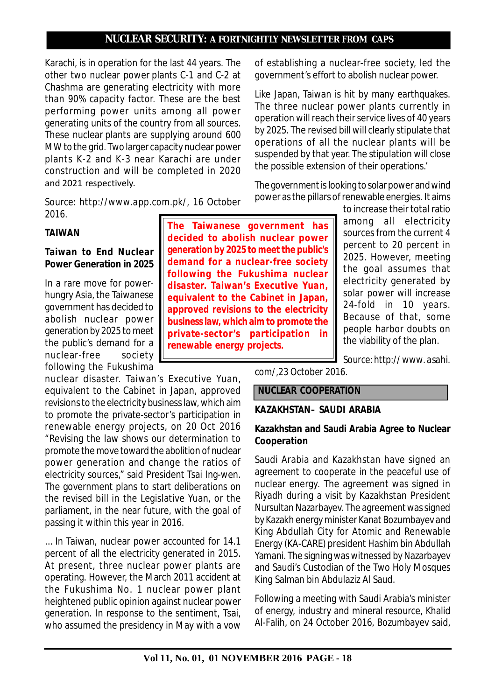Karachi, is in operation for the last 44 years. The other two nuclear power plants C-1 and C-2 at Chashma are generating electricity with more than 90% capacity factor. These are the best performing power units among all power generating units of the country from all sources. These nuclear plants are supplying around 600 MW to the grid. Two larger capacity nuclear power plants K-2 and K-3 near Karachi are under construction and will be completed in 2020 and 2021 respectively.

*Source: http://www.app.com.pk/, 16 October 2016.*

### **TAIWAN**

#### **Taiwan to End Nuclear Power Generation in 2025**

In a rare move for powerhungry Asia, the Taiwanese government has decided to abolish nuclear power generation by 2025 to meet the public's demand for a nuclear-free society following the Fukushima

nuclear disaster. Taiwan's Executive Yuan, equivalent to the Cabinet in Japan, approved revisions to the electricity business law, which aim to promote the private-sector's participation in renewable energy projects, on 20 Oct 2016 "Revising the law shows our determination to promote the move toward the abolition of nuclear power generation and change the ratios of electricity sources," said President Tsai Ing-wen. The government plans to start deliberations on the revised bill in the Legislative Yuan, or the parliament, in the near future, with the goal of passing it within this year in 2016.

… In Taiwan, nuclear power accounted for 14.1 percent of all the electricity generated in 2015. At present, three nuclear power plants are operating. However, the March 2011 accident at the Fukushima No. 1 nuclear power plant heightened public opinion against nuclear power generation. In response to the sentiment, Tsai, who assumed the presidency in May with a vow

**The Taiwanese government has decided to abolish nuclear power generation by 2025 to meet the public's demand for a nuclear-free society following the Fukushima nuclear disaster. Taiwan's Executive Yuan, equivalent to the Cabinet in Japan, approved revisions to the electricity business law, which aim to promote the private-sector's participation in renewable energy projects.**

of establishing a nuclear-free society, led the government's effort to abolish nuclear power.

Like Japan, Taiwan is hit by many earthquakes. The three nuclear power plants currently in operation will reach their service lives of 40 years by 2025. The revised bill will clearly stipulate that operations of all the nuclear plants will be suspended by that year. The stipulation will close the possible extension of their operations.'

The government is looking to solar power and wind power as the pillars of renewable energies. It aims

> to increase their total ratio among all electricity sources from the current 4 percent to 20 percent in 2025. However, meeting the goal assumes that electricity generated by solar power will increase 24-fold in 10 years. Because of that, some people harbor doubts on the viability of the plan.

> *Source: http:// www. asahi.*

*com/,23 October 2016.*

#### **NUCLEAR COOPERATION**

#### **KAZAKHSTAN– SAUDI ARABIA**

#### **Kazakhstan and Saudi Arabia Agree to Nuclear Cooperation**

Saudi Arabia and Kazakhstan have signed an agreement to cooperate in the peaceful use of nuclear energy. The agreement was signed in Riyadh during a visit by Kazakhstan President Nursultan Nazarbayev. The agreementwas signed by Kazakh energy minister Kanat Bozumbayev and King Abdullah City for Atomic and Renewable Energy (KA-CARE) president Hashim bin Abdullah Yamani. The signing was witnessed by Nazarbayev and Saudi's Custodian of the Two Holy Mosques King Salman bin Abdulaziz Al Saud.

Following a meeting with Saudi Arabia's minister of energy, industry and mineral resource, Khalid Al-Falih, on 24 October 2016, Bozumbayev said,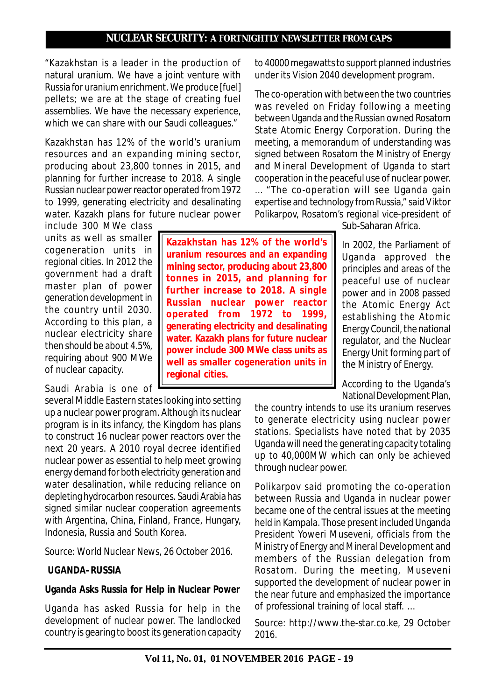"Kazakhstan is a leader in the production of natural uranium. We have a joint venture with Russia for uranium enrichment. We produce [fuel] pellets; we are at the stage of creating fuel assemblies. We have the necessary experience, which we can share with our Saudi colleagues."

Kazakhstan has 12% of the world's uranium resources and an expanding mining sector, producing about 23,800 tonnes in 2015, and planning for further increase to 2018. A single Russian nuclear power reactor operated from 1972 to 1999, generating electricity and desalinating water. Kazakh plans for future nuclear power

include 300 MWe class units as well as smaller cogeneration units in regional cities. In 2012 the government had a draft master plan of power generation development in the country until 2030. According to this plan, a nuclear electricity share then should be about 4.5%, requiring about 900 MWe of nuclear capacity.

Saudi Arabia is one of

several Middle Eastern states looking into setting up a nuclear power program. Although its nuclear program is in its infancy, the Kingdom has plans to construct 16 nuclear power reactors over the next 20 years. A 2010 royal decree identified nuclear power as essential to help meet growing energy demand for both electricity generation and water desalination, while reducing reliance on depleting hydrocarbon resources. Saudi Arabia has signed similar nuclear cooperation agreements with Argentina, China, Finland, France, Hungary, Indonesia, Russia and South Korea.

*Source: World Nuclear News, 26 October 2016.*

# **UGANDA–RUSSIA**

### **Uganda Asks Russia for Help in Nuclear Power**

Uganda has asked Russia for help in the development of nuclear power. The landlocked country is gearing to boost its generation capacity to 40000 megawatts to support planned industries under its Vision 2040 development program.

The co-operation with between the two countries was reveled on Friday following a meeting between Uganda and the Russian owned Rosatom State Atomic Energy Corporation. During the meeting, a memorandum of understanding was signed between Rosatom the Ministry of Energy and Mineral Development of Uganda to start cooperation in the peaceful use of nuclear power. … "The co-operation will see Uganda gain expertise and technology from Russia," said Viktor Polikarpov, Rosatom's regional vice-president of

Sub-Saharan Africa.

In 2002, the Parliament of Uganda approved the principles and areas of the peaceful use of nuclear power and in 2008 passed the Atomic Energy Act establishing the Atomic Energy Council, the national regulator, and the Nuclear Energy Unit forming part of the Ministry of Energy.

According to the Uganda's National Development Plan,

the country intends to use its uranium reserves to generate electricity using nuclear power stations. Specialists have noted that by 2035 Uganda will need the generating capacity totaling up to 40,000MW which can only be achieved through nuclear power.

Polikarpov said promoting the co-operation between Russia and Uganda in nuclear power became one of the central issues at the meeting held in Kampala. Those present included Unganda President Yoweri Museveni, officials from the Ministry of Energy and Mineral Development and members of the Russian delegation from Rosatom. During the meeting, Museveni supported the development of nuclear power in the near future and emphasized the importance of professional training of local staff. …

*Source: http://www.the-star.co.ke, 29 October 2016.*

**Kazakhstan has 12% of the world's uranium resources and an expanding mining sector, producing about 23,800 tonnes in 2015, and planning for further increase to 2018. A single Russian nuclear power reactor operated from 1972 to 1999, generating electricity and desalinating water. Kazakh plans for future nuclear power include 300 MWe class units as well as smaller cogeneration units in regional cities.**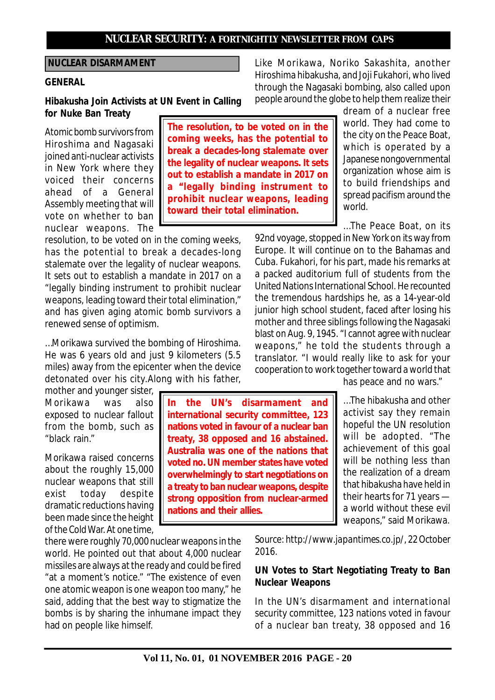**a treaty to ban nuclear weapons, despite strong opposition from nuclear-armed**

**nations and their allies.**

# **NUCLEAR SECURITY: A FORTNIGHTLY NEWSLETTER FROM CAPS**

**The resolution, to be voted on in the coming weeks, has the potential to break a decades-long stalemate over the legality of nuclear weapons. It sets out to establish a mandate in 2017 on a "legally binding instrument to prohibit nuclear weapons, leading**

**toward their total elimination.**

## **NUCLEAR DISARMAMENT**

## **GENERAL**

### **Hibakusha Join Activists at UN Event in Calling for Nuke Ban Treaty**

Atomic bomb survivors from Hiroshima and Nagasaki joined anti-nuclear activists in New York where they voiced their concerns ahead of a General Assembly meeting that will vote on whether to ban nuclear weapons. The

resolution, to be voted on in the coming weeks, has the potential to break a decades-long stalemate over the legality of nuclear weapons. It sets out to establish a mandate in 2017 on a "legally binding instrument to prohibit nuclear weapons, leading toward their total elimination," and has given aging atomic bomb survivors a renewed sense of optimism.

…Morikawa survived the bombing of Hiroshima. He was 6 years old and just 9 kilometers (5.5 miles) away from the epicenter when the device detonated over his city.Along with his father,

mother and younger sister, Morikawa was also exposed to nuclear fallout from the bomb, such as "black rain."

Morikawa raised concerns about the roughly 15,000 nuclear weapons that still exist today despite dramatic reductions having been made since the height of the Cold War. At one time,

there were roughly 70,000 nuclear weapons in the world. He pointed out that about 4,000 nuclear missiles are always at the ready and could be fired "at a moment's notice." "The existence of even one atomic weapon is one weapon too many," he said, adding that the best way to stigmatize the bombs is by sharing the inhumane impact they had on people like himself.

Like Morikawa, Noriko Sakashita, another Hiroshima hibakusha, and Joji Fukahori, who lived through the Nagasaki bombing, also called upon people around the globe to help them realize their

> dream of a nuclear free world. They had come to the city on the Peace Boat, which is operated by a Japanese nongovernmental organization whose aim is to build friendships and spread pacifism around the world.

…The Peace Boat, on its

92nd voyage, stopped in New York on its way from Europe. It will continue on to the Bahamas and Cuba. Fukahori, for his part, made his remarks at a packed auditorium full of students from the United Nations International School. He recounted the tremendous hardships he, as a 14-year-old junior high school student, faced after losing his mother and three siblings following the Nagasaki blast on Aug. 9, 1945. "I cannot agree with nuclear weapons," he told the students through a translator. "I would really like to ask for your cooperation to work together toward a world that

has peace and no wars."

…The hibakusha and other activist say they remain hopeful the UN resolution will be adopted. "The achievement of this goal will be nothing less than the realization of a dream that hibakusha have held in their hearts for 71 years a world without these evil weapons," said Morikawa.

*Source: http://www.japantimes.co.jp/, 22 October 2016.*

# **UN Votes to Start Negotiating Treaty to Ban Nuclear Weapons**

In the UN's disarmament and international security committee, 123 nations voted in favour of a nuclear ban treaty, 38 opposed and 16

**In the UN's disarmament and international security committee, 123 nations voted in favour of a nuclear ban treaty, 38 opposed and 16 abstained. Australia was one of the nations that voted no. UN member states have voted overwhelmingly to start negotiations on**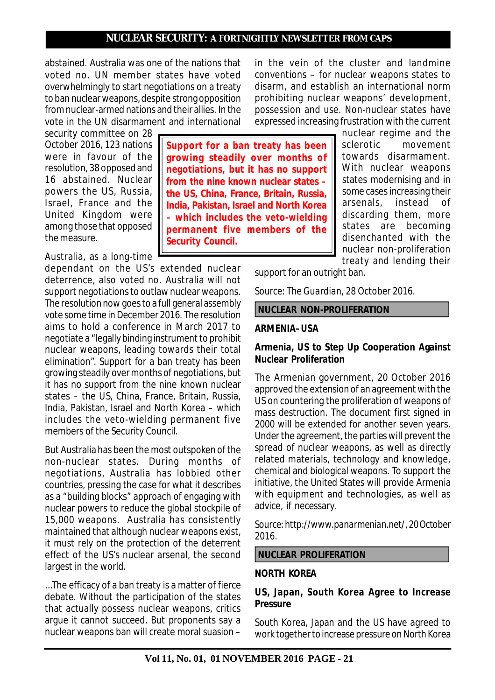abstained. Australia was one of the nations that voted no. UN member states have voted overwhelmingly to start negotiations on a treaty to ban nuclear weapons, despite strong opposition from nuclear-armed nations and their allies. In the vote in the UN disarmament and international

security committee on 28 October 2016, 123 nations were in favour of the resolution, 38 opposed and 16 abstained. Nuclear powers the US, Russia, Israel, France and the United Kingdom were among those that opposed the measure.

Australia, as a long-time

dependant on the US's extended nuclear deterrence, also voted no. Australia will not support negotiations to outlaw nuclear weapons. The resolution now goes to a full general assembly vote some time in December 2016. The resolution aims to hold a conference in March 2017 to negotiate a "legally binding instrument to prohibit nuclear weapons, leading towards their total elimination". Support for a ban treaty has been growing steadily over months of negotiations, but it has no support from the nine known nuclear states – the US, China, France, Britain, Russia, India, Pakistan, Israel and North Korea – which includes the veto-wielding permanent five members of the Security Council.

But Australia has been the most outspoken of the non-nuclear states. During months of negotiations, Australia has lobbied other countries, pressing the case for what it describes as a "building blocks" approach of engaging with nuclear powers to reduce the global stockpile of 15,000 weapons. Australia has consistently maintained that although nuclear weapons exist, it must rely on the protection of the deterrent effect of the US's nuclear arsenal, the second largest in the world.

…The efficacy of a ban treaty is a matter of fierce debate. Without the participation of the states that actually possess nuclear weapons, critics argue it cannot succeed. But proponents say a nuclear weapons ban will create moral suasion –

**Support for a ban treaty has been growing steadily over months of negotiations, but it has no support from the nine known nuclear states – the US, China, France, Britain, Russia, India, Pakistan, Israel and North Korea – which includes the veto-wielding permanent five members of the Security Council.**

in the vein of the cluster and landmine conventions – for nuclear weapons states to disarm, and establish an international norm prohibiting nuclear weapons' development, possession and use. Non-nuclear states have expressed increasing frustration with the current

nuclear regime and the sclerotic movement towards disarmament. With nuclear weapons states modernising and in some cases increasing their arsenals, instead of discarding them, more states are becoming disenchanted with the nuclear non-proliferation treaty and lending their

support for an outright ban.

*Source: The Guardian, 28 October 2016.*

### **NUCLEAR NON-PROLIFERATION**

#### **ARMENIA–USA**

## **Armenia, US to Step Up Cooperation Against Nuclear Proliferation**

The Armenian government, 20 October 2016 approved the extension of an agreement with the US on countering the proliferation of weapons of mass destruction. The document first signed in 2000 will be extended for another seven years. Under the agreement, the parties will prevent the spread of nuclear weapons, as well as directly related materials, technology and knowledge, chemical and biological weapons. To support the initiative, the United States will provide Armenia with equipment and technologies, as well as advice, if necessary.

*Source:http://www.panarmenian.net/, 20 October 2016.*

### **NUCLEAR PROLIFERATION**

### **NORTH KOREA**

### **US, Japan, South Korea Agree to Increase Pressure**

South Korea, Japan and the US have agreed to work together to increase pressure on North Korea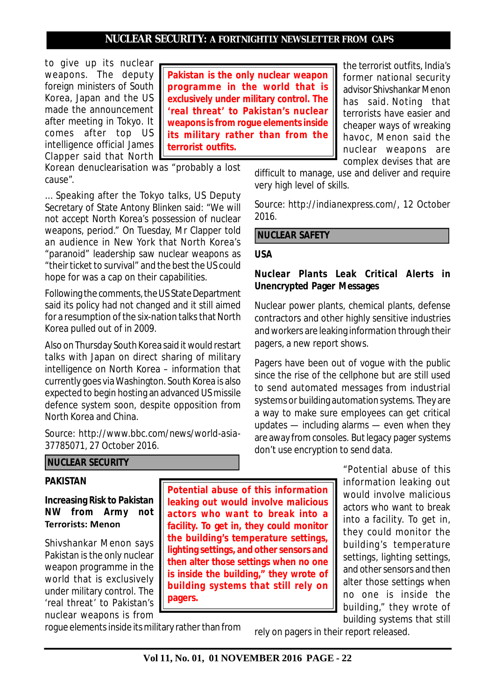to give up its nuclear weapons. The deputy foreign ministers of South Korea, Japan and the US made the announcement after meeting in Tokyo. It comes after top US intelligence official James Clapper said that North

**Pakistan is the only nuclear weapon programme in the world that is exclusively under military control. The 'real threat' to Pakistan's nuclear weapons is from rogue elements inside its military rather than from the terrorist outfits.**

Korean denuclearisation was "probably a lost cause".

… Speaking after the Tokyo talks, US Deputy Secretary of State Antony Blinken said: "We will not accept North Korea's possession of nuclear weapons, period." On Tuesday, Mr Clapper told an audience in New York that North Korea's "paranoid" leadership saw nuclear weapons as "their ticket to survival" and the best the US could hope for was a cap on their capabilities.

Following the comments, the US State Department said its policy had not changed and it still aimed for a resumption of the six-nation talks that North Korea pulled out of in 2009.

Also on Thursday South Korea said it would restart talks with Japan on direct sharing of military intelligence on North Korea – information that currently goes via Washington. South Korea is also expected to begin hosting an advanced US missile defence system soon, despite opposition from North Korea and China.

*Source: http://www.bbc.com/news/world-asia-37785071, 27 October 2016.*

 **NUCLEAR SECURITY**

**PAKISTAN**

### **Increasing Risk to Pakistan NW from Army not Terrorists: Menon**

Shivshankar Menon says Pakistan is the only nuclear weapon programme in the world that is exclusively under military control. The 'real threat' to Pakistan's nuclear weapons is from

**Potential abuse of this information leaking out would involve malicious actors who want to break into a facility. To get in, they could monitor the building's temperature settings, lighting settings, and other sensors and then alter those settings when no one is inside the building," they wrote of building systems that still rely on pagers.**

rogue elements inside its military rather than from

the terrorist outfits, India's former national security advisor Shivshankar Menon has said. Noting that terrorists have easier and cheaper ways of wreaking havoc, Menon said the nuclear weapons are complex devises that are

difficult to manage, use and deliver and require very high level of skills.

*Source: http://indianexpress.com/, 12 October 2016.*

### **NUCLEAR SAFETY**

### **USA**

## **Nuclear Plants Leak Critical Alerts in Unencrypted Pager Messages**

Nuclear power plants, chemical plants, defense contractors and other highly sensitive industries and workers are leaking information through their pagers, a new report shows.

Pagers have been out of vogue with the public since the rise of the cellphone but are still used to send automated messages from industrial systems or building automation systems. They are a way to make sure employees can get critical updates — including alarms — even when they are away from consoles. But legacy pager systems don't use encryption to send data.

> "Potential abuse of this information leaking out would involve malicious actors who want to break into a facility. To get in, they could monitor the building's temperature settings, lighting settings, and other sensors and then alter those settings when no one is inside the building," they wrote of building systems that still

rely on pagers in their report released.